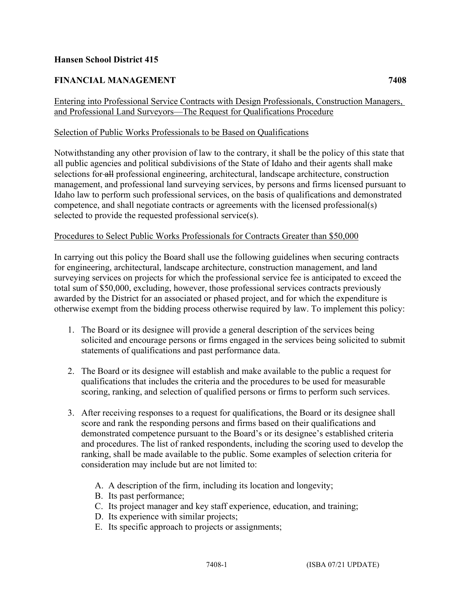## **Hansen School District 415**

# **FINANCIAL MANAGEMENT 7408**

### Entering into Professional Service Contracts with Design Professionals, Construction Managers, and Professional Land Surveyors—The Request for Qualifications Procedure

#### Selection of Public Works Professionals to be Based on Qualifications

Notwithstanding any other provision of law to the contrary, it shall be the policy of this state that all public agencies and political subdivisions of the State of Idaho and their agents shall make selections for all professional engineering, architectural, landscape architecture, construction management, and professional land surveying services, by persons and firms licensed pursuant to Idaho law to perform such professional services, on the basis of qualifications and demonstrated competence, and shall negotiate contracts or agreements with the licensed professional(s) selected to provide the requested professional service(s).

#### Procedures to Select Public Works Professionals for Contracts Greater than \$50,000

In carrying out this policy the Board shall use the following guidelines when securing contracts for engineering, architectural, landscape architecture, construction management, and land surveying services on projects for which the professional service fee is anticipated to exceed the total sum of \$50,000, excluding, however, those professional services contracts previously awarded by the District for an associated or phased project, and for which the expenditure is otherwise exempt from the bidding process otherwise required by law. To implement this policy:

- 1. The Board or its designee will provide a general description of the services being solicited and encourage persons or firms engaged in the services being solicited to submit statements of qualifications and past performance data.
- 2. The Board or its designee will establish and make available to the public a request for qualifications that includes the criteria and the procedures to be used for measurable scoring, ranking, and selection of qualified persons or firms to perform such services.
- 3. After receiving responses to a request for qualifications, the Board or its designee shall score and rank the responding persons and firms based on their qualifications and demonstrated competence pursuant to the Board's or its designee's established criteria and procedures. The list of ranked respondents, including the scoring used to develop the ranking, shall be made available to the public. Some examples of selection criteria for consideration may include but are not limited to:
	- A. A description of the firm, including its location and longevity;
	- B. Its past performance;
	- C. Its project manager and key staff experience, education, and training;
	- D. Its experience with similar projects;
	- E. Its specific approach to projects or assignments;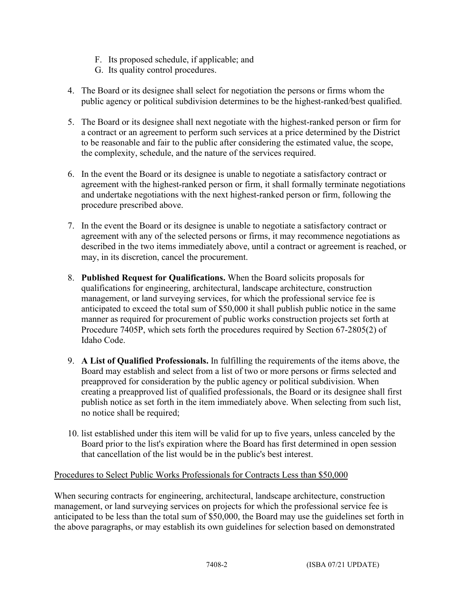- F. Its proposed schedule, if applicable; and
- G. Its quality control procedures.
- 4. The Board or its designee shall select for negotiation the persons or firms whom the public agency or political subdivision determines to be the highest-ranked/best qualified.
- 5. The Board or its designee shall next negotiate with the highest-ranked person or firm for a contract or an agreement to perform such services at a price determined by the District to be reasonable and fair to the public after considering the estimated value, the scope, the complexity, schedule, and the nature of the services required.
- 6. In the event the Board or its designee is unable to negotiate a satisfactory contract or agreement with the highest-ranked person or firm, it shall formally terminate negotiations and undertake negotiations with the next highest-ranked person or firm, following the procedure prescribed above.
- 7. In the event the Board or its designee is unable to negotiate a satisfactory contract or agreement with any of the selected persons or firms, it may recommence negotiations as described in the two items immediately above, until a contract or agreement is reached, or may, in its discretion, cancel the procurement.
- 8. **Published Request for Qualifications.** When the Board solicits proposals for qualifications for engineering, architectural, landscape architecture, construction management, or land surveying services, for which the professional service fee is anticipated to exceed the total sum of \$50,000 it shall publish public notice in the same manner as required for procurement of public works construction projects set forth at Procedure 7405P, which sets forth the procedures required by Section 67-2805(2) of Idaho Code.
- 9. **A List of Qualified Professionals.** In fulfilling the requirements of the items above, the Board may establish and select from a list of two or more persons or firms selected and preapproved for consideration by the public agency or political subdivision. When creating a preapproved list of qualified professionals, the Board or its designee shall first publish notice as set forth in the item immediately above. When selecting from such list, no notice shall be required;
- 10. list established under this item will be valid for up to five years, unless canceled by the Board prior to the list's expiration where the Board has first determined in open session that cancellation of the list would be in the public's best interest.

## Procedures to Select Public Works Professionals for Contracts Less than \$50,000

When securing contracts for engineering, architectural, landscape architecture, construction management, or land surveying services on projects for which the professional service fee is anticipated to be less than the total sum of \$50,000, the Board may use the guidelines set forth in the above paragraphs, or may establish its own guidelines for selection based on demonstrated